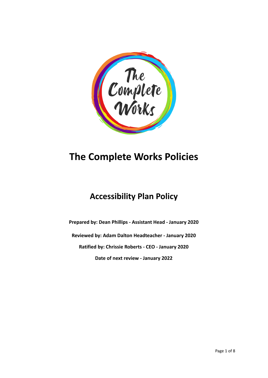

# **The Complete Works Policies**

# **Accessibility Plan Policy**

**Prepared by: Dean Phillips - Assistant Head - January 2020 Reviewed by: Adam Dalton Headteacher - January 2020 Ratified by: Chrissie Roberts - CEO - January 2020 Date of next review - January 2022**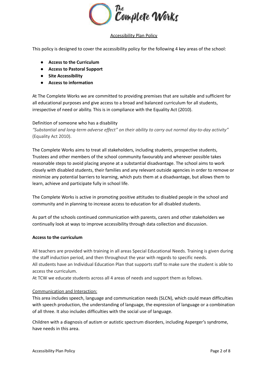

# Accessibility Plan Policy

This policy is designed to cover the accessibility policy for the following 4 key areas of the school:

- **● Access to the Curriculum**
- **● Access to Pastoral Support**
- **● Site Accessibility**
- **● Access to information**

At The Complete Works we are committed to providing premises that are suitable and sufficient for all educational purposes and give access to a broad and balanced curriculum for all students, irrespective of need or ability. This is in compliance with the Equality Act (2010).

# Definition of someone who has a disability

*"Substantial and long-term adverse effect" on their ability to carry out normal day-to-day activity"* (Equality Act 2010).

The Complete Works aims to treat all stakeholders, including students, prospective students, Trustees and other members of the school community favourably and wherever possible takes reasonable steps to avoid placing anyone at a substantial disadvantage. The school aims to work closely with disabled students, their families and any relevant outside agencies in order to remove or minimize any potential barriers to learning, which puts them at a disadvantage, but allows them to learn, achieve and participate fully in school life.

The Complete Works is active in promoting positive attitudes to disabled people in the school and community and in planning to increase access to education for all disabled students.

As part of the schools continued communication with parents, carers and other stakeholders we continually look at ways to improve accessibility through data collection and discussion.

# **Access to the curriculum**

All teachers are provided with training in all areas Special Educational Needs. Training is given during the staff induction period, and then throughout the year with regards to specific needs. All students have an Individual Education Plan that supports staff to make sure the student is able to access the curriculum.

At TCW we educate students across all 4 areas of needs and support them as follows.

# Communication and Interaction:

This area includes speech, language and communication needs (SLCN), which could mean difficulties with speech production, the understanding of language, the expression of language or a combination of all three. It also includes difficulties with the social use of language.

Children with a diagnosis of autism or autistic spectrum disorders, including Asperger's syndrome, have needs in this area.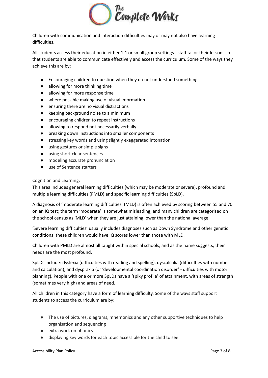

Children with communication and interaction difficulties may or may not also have learning difficulties.

All students access their education in either 1:1 or small group settings - staff tailor their lessons so that students are able to communicate effectively and access the curriculum. Some of the ways they achieve this are by:

- Encouraging children to question when they do not understand something
- allowing for more thinking time
- allowing for more response time
- where possible making use of visual information
- ensuring there are no visual distractions
- keeping background noise to a minimum
- encouraging children to repeat instructions
- allowing to respond not necessarily verbally
- breaking down instructions into smaller components
- stressing key words and using slightly exaggerated intonation
- using gestures or simple signs
- using short clear sentences
- modeling accurate pronunciation
- use of Sentence starters

# Cognition and Learning:

This area includes general learning difficulties (which may be moderate or severe), profound and multiple learning difficulties (PMLD) and specific learning difficulties (SpLD).

A diagnosis of 'moderate learning difficulties' (MLD) is often achieved by scoring between 55 and 70 on an IQ test; the term 'moderate' is somewhat misleading, and many children are categorised on the school census as 'MLD' when they are just attaining lower than the national average.

'Severe learning difficulties' usually includes diagnoses such as Down Syndrome and other genetic conditions; these children would have IQ scores lower than those with MLD.

Children with PMLD are almost all taught within special schools, and as the name suggests, their needs are the most profound.

SpLDs include: dyslexia (difficulties with reading and spelling), dyscalculia (difficulties with number and calculation), and dyspraxia (or 'developmental coordination disorder' - difficulties with motor planning). People with one or more SpLDs have a 'spiky profile' of attainment, with areas of strength (sometimes very high) and areas of need.

All children in this category have a form of learning difficulty. Some of the ways staff support students to access the curriculum are by:

- The use of pictures, diagrams, mnemonics and any other supportive techniques to help organisation and sequencing
- extra work on phonics
- displaying key words for each topic accessible for the child to see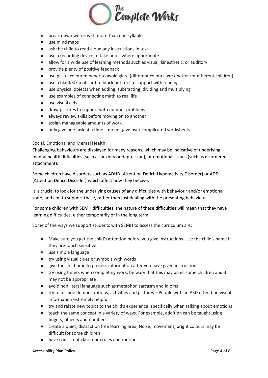

- break down words with more than one syllable
- use mind maps
- ask the child to read aloud any instructions in text
- use a recording device to take notes where appropriate
- allow for a wide use of learning methods such as visual, kinesthetic, or auditory
- provide plenty of positive feedback
- use pastel coloured paper to avoid glare (different colours work better for different children)
- use a blank strip of card to block out text to support with reading
- use physical objects when adding, subtracting, dividing and multiplying
- use examples of connecting math to real life
- use visual aids
- draw pictures to support with number problems
- always review skills before moving on to another
- assign manageable amounts of work
- only give one task at a time do not give over complicated worksheets.

#### Social, Emotional and Mental Health:

Challenging behaviours are displayed for many reasons, which may be indicative of underlying mental health difficulties (such as anxiety or depression), or emotional issues (such as disordered attachment).

Some children have disorders such as ADHD (Attention Deficit Hyperactivity Disorder) or ADD (Attention Deficit Disorder) which affect how they behave.

It is crucial to look for the underlying causes of any difficulties with behaviour and/or emotional state, and aim to support these, rather than just dealing with the presenting behaviour.

For some children with SEMH difficulties, the nature of these difficulties will mean that they have learning difficulties, either temporarily or in the long term.

Some of the ways we support students with SEMH to access the curriculum are:

- Make sure you get the child's attention before you give instructions. Use the child's name If they are touch sensitive
- use simple language
- try using visual clues or symbols with words
- give the child time to process information after you have given instructions
- try using timers when completing work, be wary that this may panic some children and it may not be appropriate
- avoid non literal language such as metaphor, sarcasm and idioms
- try to include demonstrations, activities and pictures People with an ASD often find visual information extremely helpful
- try and relate new topics to the child's experience, specifically when talking about emotions
- teach the same concept in a variety of ways. For example, addition can be taught using fingers, objects and numbers
- create a quiet, distraction free learning area, Noise, movement, bright colours may be difficult for some children
- have consistent classroom rules and routines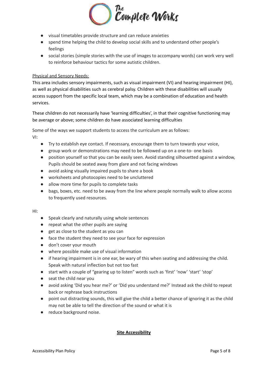

- visual timetables provide structure and can reduce anxieties
- spend time helping the child to develop social skills and to understand other people's feelings
- social stories (simple stories with the use of images to accompany words) can work very well to reinforce behaviour tactics for some autistic children.

# Physical and Sensory Needs:

This area includes sensory impairments, such as visual impairment (VI) and hearing impairment (HI), as well as physical disabilities such as cerebral palsy. Children with these disabilities will usually access support from the specific local team, which may be a combination of education and health services.

These children do not necessarily have 'learning difficulties', in that their cognitive functioning may be average or above; some children do have associated learning difficulties

Some of the ways we support students to access the curriculum are as follows:

VI:

- Try to establish eye contact. If necessary, encourage them to turn towards your voice,
- group work or demonstrations may need to be followed up on a one-to- one basis
- position yourself so that you can be easily seen. Avoid standing silhouetted against a window, Pupils should be seated away from glare and not facing windows
- avoid asking visually impaired pupils to share a book
- worksheets and photocopies need to be uncluttered
- allow more time for pupils to complete tasks
- bags, boxes, etc. need to be away from the line where people normally walk to allow access to frequently used resources.

HI:

- Speak clearly and naturally using whole sentences
- repeat what the other pupils are saying
- get as close to the student as you can
- face the student they need to see your face for expression
- don't cover your mouth
- where possible make use of visual information
- if hearing impairment is in one ear, be wary of this when seating and addressing the child. Speak with natural inflection but not too fast
- start with a couple of "gearing up to listen" words such as 'first' 'now' 'start' 'stop'
- seat the child near you
- avoid asking 'Did you hear me?' or 'Did you understand me?' Instead ask the child to repeat back or rephrase back instructions
- point out distracting sounds, this will give the child a better chance of ignoring it as the child may not be able to tell the direction of the sound or what it is
- reduce background noise.

# **Site Accessibility**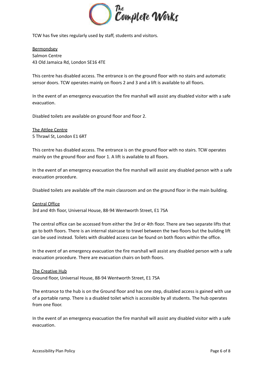

TCW has five sites regularly used by staff, students and visitors.

Bermondsey Salmon Centre 43 Old Jamaica Rd, London SE16 4TE

This centre has disabled access. The entrance is on the ground floor with no stairs and automatic sensor doors. TCW operates mainly on floors 2 and 3 and a lift is available to all floors.

In the event of an emergency evacuation the fire marshall will assist any disabled visitor with a safe evacuation.

Disabled toilets are available on ground floor and floor 2.

The Attlee Centre 5 Thrawl St, London E1 6RT

This centre has disabled access. The entrance is on the ground floor with no stairs. TCW operates mainly on the ground floor and floor 1. A lift is available to all floors.

In the event of an emergency evacuation the fire marshall will assist any disabled person with a safe evacuation procedure.

Disabled toilets are available off the main classroom and on the ground floor in the main building.

# Central Office

3rd and 4th floor, Universal House, 88-94 Wentworth Street, E1 7SA

The central office can be accessed from either the 3rd or 4th floor. There are two separate lifts that go to both floors. There is an internal staircase to travel between the two floors but the building lift can be used instead. Toilets with disabled access can be found on both floors within the office.

In the event of an emergency evacuation the fire marshall will assist any disabled person with a safe evacuation procedure. There are evacuation chairs on both floors.

The Creative Hub Ground floor, Universal House, 88-94 Wentworth Street, E1 7SA

The entrance to the hub is on the Ground floor and has one step, disabled access is gained with use of a portable ramp. There is a disabled toilet which is accessible by all students. The hub operates from one floor.

In the event of an emergency evacuation the fire marshall will assist any disabled visitor with a safe evacuation.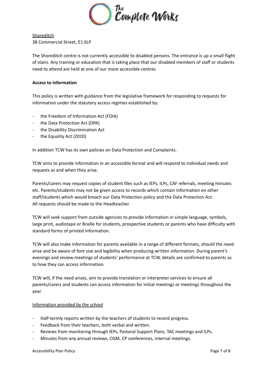

Shoreditch 38 Commercial Street, E1 6LP

The Shoreditch centre is not currently accessible to disabled persons. The entrance is up a small flight of stairs. Any training or education that is taking place that our disabled members of staff or students need to attend are held at one of our more accessible centres

# **Access to information**

This policy is written with guidance from the legislative framework for responding to requests for information under the statutory access regimes established by:

- the Freedom of Information Act (FOIA)
- the Data Protection Act (DPA)
- the Disability Discrimination Act
- the Equality Act (2010)

In addition TCW has its own policies on Data Protection and Complaints.

TCW aims to provide information in an accessible format and will respond to individual needs and requests as and when they arise.

Parents/carers may request copies of student files such as IEPs, ILPs, CAF referrals, meeting minutes etc. Parents/students may not be given access to records which contain information on other staff/students which would breach our Data Protection policy and the Data Protection Act. All requests should be made to the Headteacher.

TCW will seek support from outside agencies to provide information in simple language, symbols, large print, audiotape or Braille for students, prospective students or parents who have difficulty with standard forms of printed information.

TCW will also make information for parents available in a range of different formats, should the need arise and be aware of font size and legibility when producing written information. During parent's evenings and review meetings of students' performance at TCW, details are confirmed to parents as to how they can access information.

TCW will, if the need arises, aim to provide translation or interpreter services to ensure all parents/carers and students can access information for initial meetings or meetings throughout the year.

# Information provided by the school

- Half-termly reports written by the teachers of students to record progress.
- Feedback from their teachers, both verbal and written.
- Reviews from monitoring through IEPs, Pastoral Support Plans, TAC meetings and ILPs.
- Minutes from any annual reviews, CGM, CP conferences, internal meetings.